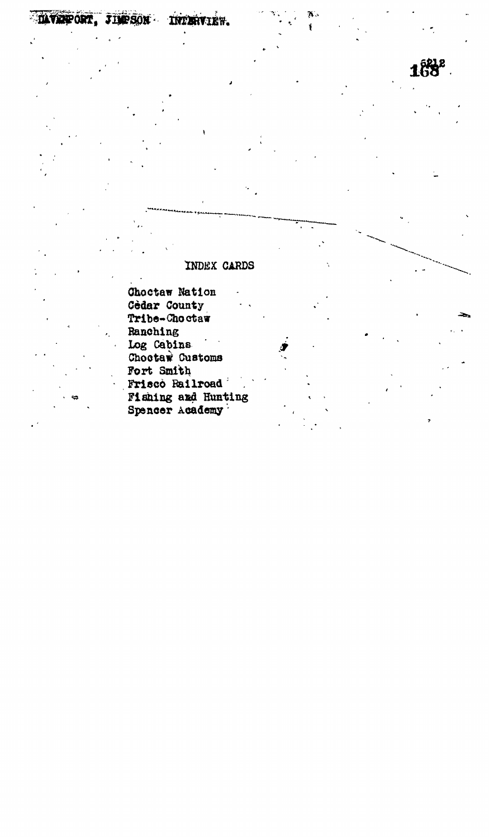#### TIAVANPORT, JIMPSON INTENVIEW.

# INDEX CARDS

Choctaw Nation Cèdar County Tribe-Choctaw Ranching Log Cabins Choctaw Customs Fort Smith Friscò Railroad Fishing and Hunting Spencer Academy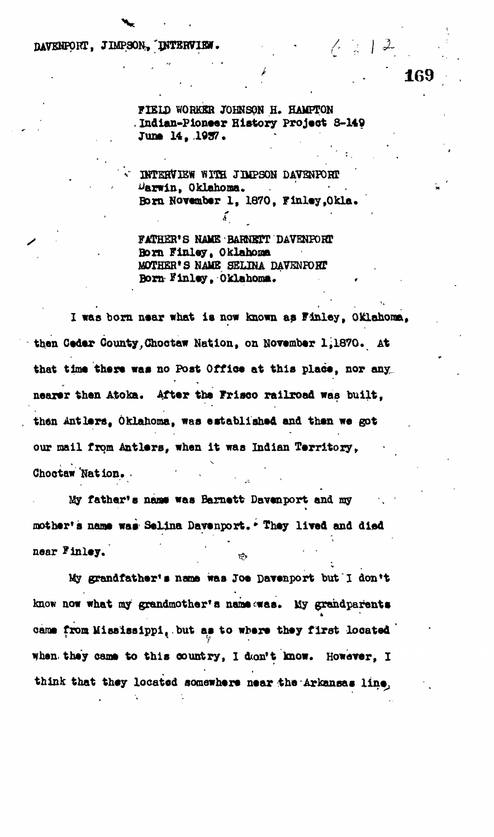### DAVENPORT, JIMPSON, INTERVIEW.

FIELD WORKER JOHNSON H. HAMPTON Indian-Pioneer History Project 8-149 June 14, 1957.

INTERVIEW WITH JIMPSON DAVENFORT Darwin, Oklahoma. Born November 1, 1870, Finley, Okla.

FATHER'S NAME BARNETT DAVENFORT Born Finley, Oklahoma MOTHER'S NAME SELINA DAVENFORT Born Finley, Oklahoma.

I was born near what is now known as Finley, Oklahoma, then Ceder County, Chootaw Nation, on November 1,1870. At that time there was no Post Office at this place, nor any nearer then Atoka. After the Frisco railroad was built. then Antlers, Oklahoma, was established and then we got our mail from Antlers, when it was Indian Territory, Choctaw Nation.

My father's name was Barnett Davenport and my mother's name was Selina Davenport. \* They lived and died near Finley.

My grandfather's name was Joe Davenport but I don't know now what my grandmother's name was. My grandparents came from Mississippi, but as to where they first located when they came to this country, I don't know. However, I think that they located somewhere near the Arkansas line,

## 169

 $\left\langle \cdot\right\rangle$  ) 2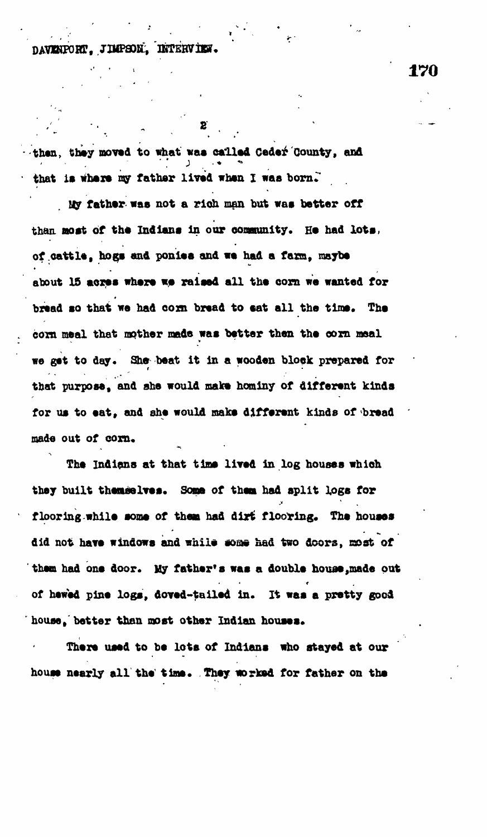DAVENPORT, JIMPSON, INTERVIEW.

**then, they moved to what was called Cedef County, and** that is where my father lived when I was born.

**2**

**\***

**170**

**Hy father was not a rich man but was better off** than most of the Indians in our community. He had lots, **of cattle, hogs end ponies and we had a farm, maybe about 15 acres where we raised all the corn we wanted for bread so that we had corn bread to eat all the time. The corn meal that mother made was better then the corn meal we get to day. She beat it in a wooden block prepared for that purpose, and she would make hominy of different kinds for us to eat, and she would make different kinds of bread ' made out of corn.**

**The Indians at that time lived in log houses which they built themselves. Some of them had split logs for flooring while some of them had dirt flooring. The houses did not have windows and while** *mm* **had two doors, seat of** them had one door. My father's was a double house, made out **of hewed pine logs, doved-tailed in. It was a pretty good house, better than most other Indian houses.**

**There used to be lots of Indians who stayed at our house nearly al l the time. They worked for father on the**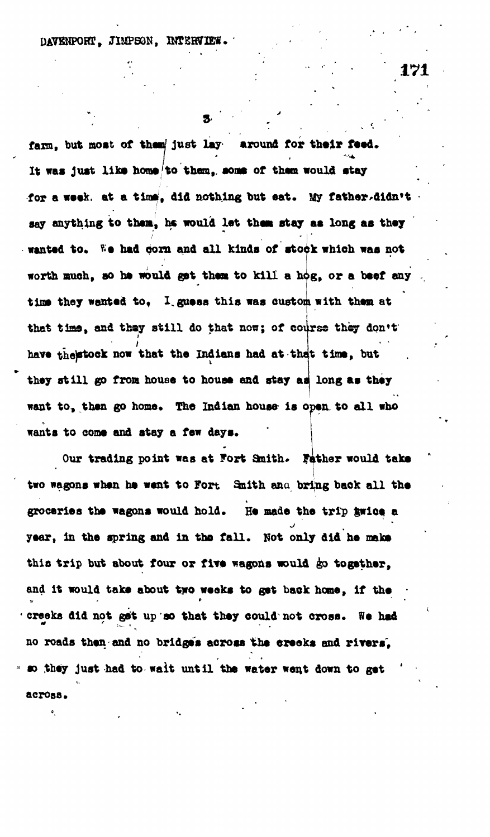farm, but most of them just lay around for their fe **It was just like home'to them,, sons of them would stay for a waak. at a time, did nothing but eat. My father.didn't say anything to tham, he would lat thaw stay aa long as thay wanted to.** We had corn and all kinds of stock which was not **worth much, ao ha would gat than to kill a hog,** *or* **a baef any tin» they wantad to, I, guaaa this was custom with than at** that time, and they still do that now; of course they don't have the stock now that the Indians had at that time, but **thay stil l go from house to house and stay ai long aa thay** want to, then go home. The Indian house is open to all who wants to come and stay a few days.

**Our trading point was at Fort Smith. Father would take two wagons whan ha want to Fort Snith ana bring back all tha grocerieo tha wagons would hold. Ha made the trip fewioe a** year, in the spring and in the fall. Not only did he make this trip but about four or five wagons would go together, and it would take about two weeks to get back home, if the » » • • **creeks did not gat up so that thay could'not cross. We had** no roads then and no bridges across the creeks and rivers, **a** so they just had to wait until the water went down to get **ao they just had to wait until tha water went down to get '**

**across.**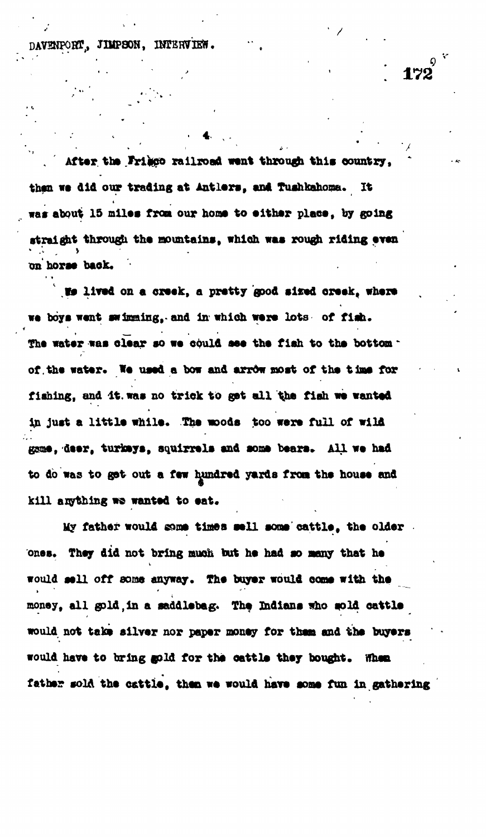DAVENPORT, JIMPSON, INTERVIEW.

After the Friggo railroad went through this country, then we did our trading at Antlers, and Tushkahoma. It was about 15 miles from our home to either place, by going straight through the mountains, which was rough riding even on horse back.

172

We lived on a creek, a pretty good sixed creek, where we boys went swimming, and in which were lots of fish. The water was clear so we could see the fish to the bottom of the water. We used a bow and arrow most of the time for fishing, and it was no trick to get all the fish we wanted in just a little while. The woods too were full of wild game, deer, turkeys, squirrels and some bears. All we had to do was to get out a few hundred yards from the house and kill anything we wanted to eat.

My father would some times sell some cattle, the older. ones. They did not bring much but he had so many that he would sell off some anyway. The buyer would come with the money, all gold, in a saddlebag. The Indians who sold cattle would not take silver nor paper money for them and the buyers would have to bring gold for the cattle they bought. When father sold the cattle, then we would have some fun in gathering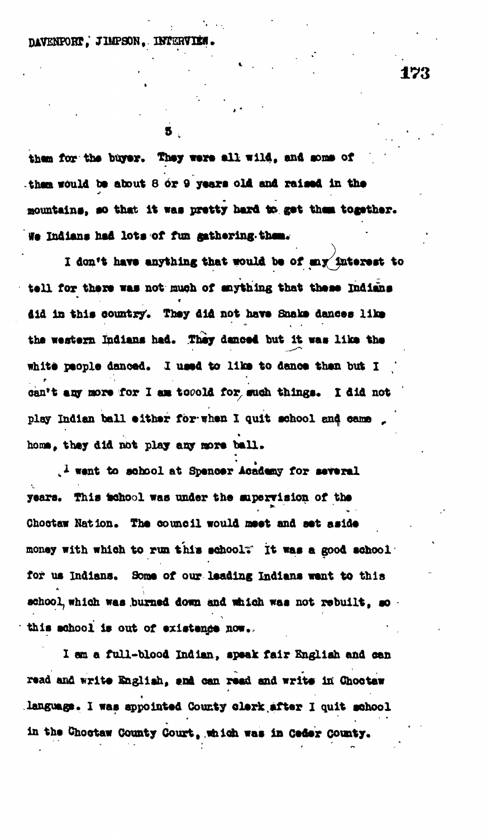#### **DAVENPOHT, J1MP90N, IHTERVIW**

173

**5 ;**

them for the buyer. They were all wild, and some of **them would be about 8 or 9 yeare olA and raised in the nountaine, ao that it traa pretty bard to. gat them together.** We Indians had lots of fun gathering than.

**I don<sup>9</sup> t hava anything that would ba of my Jjattrait to tall for thaxa vaa not nuoh of nyttiing that thaaa Indiana** did in this country. They did not have Snake dances like the western Indians had. They danced but it was like the white paople danced. I used to like to dance than but I can't any more for I am togold for such things. I did not play Indian ball either for when I quit school and came **ploy Indian ball aithar for\* whan I quit aehool en^ oamo "**

<sup>1</sup> went to school at Spencer Academy for several **years.** This wehool was under the supervision of the **years. Thia fcehool waa under tha nperYiaion of tha** money with which to run this school" It was a good school **money with whieh to run thia aehooir it waa a good aehool** for us Indians. Some of our leading Indians went to this **for us Indiana. Some of our leading Indiana want to this \** this school is out of existence now.

I am a full-blood Indian, speak fair English and can read and write English, and can read and write in Chootaw language. I was appointed County clerk after I quit school in the Choctaw County Court, which was in Ceder County.

**language. I waa appointed County clerk .after I quit aehool**